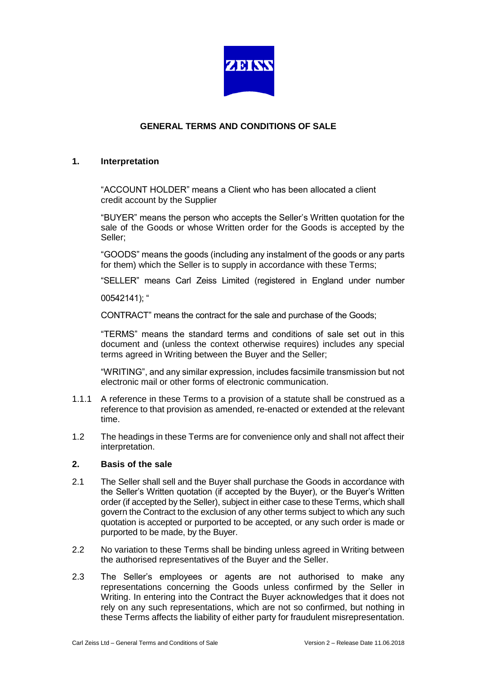

# **GENERAL TERMS AND CONDITIONS OF SALE**

### **1. Interpretation**

"ACCOUNT HOLDER" means a Client who has been allocated a client credit account by the Supplier

"BUYER" means the person who accepts the Seller's Written quotation for the sale of the Goods or whose Written order for the Goods is accepted by the Seller;

"GOODS" means the goods (including any instalment of the goods or any parts for them) which the Seller is to supply in accordance with these Terms;

"SELLER" means Carl Zeiss Limited (registered in England under number

00542141); "

CONTRACT" means the contract for the sale and purchase of the Goods;

"TERMS" means the standard terms and conditions of sale set out in this document and (unless the context otherwise requires) includes any special terms agreed in Writing between the Buyer and the Seller;

"WRITING", and any similar expression, includes facsimile transmission but not electronic mail or other forms of electronic communication.

- 1.1.1 A reference in these Terms to a provision of a statute shall be construed as a reference to that provision as amended, re-enacted or extended at the relevant time.
- 1.2 The headings in these Terms are for convenience only and shall not affect their interpretation.

#### **2. Basis of the sale**

- 2.1 The Seller shall sell and the Buyer shall purchase the Goods in accordance with the Seller's Written quotation (if accepted by the Buyer), or the Buyer's Written order (if accepted by the Seller), subject in either case to these Terms, which shall govern the Contract to the exclusion of any other terms subject to which any such quotation is accepted or purported to be accepted, or any such order is made or purported to be made, by the Buyer.
- 2.2 No variation to these Terms shall be binding unless agreed in Writing between the authorised representatives of the Buyer and the Seller.
- 2.3 The Seller's employees or agents are not authorised to make any representations concerning the Goods unless confirmed by the Seller in Writing. In entering into the Contract the Buyer acknowledges that it does not rely on any such representations, which are not so confirmed, but nothing in these Terms affects the liability of either party for fraudulent misrepresentation.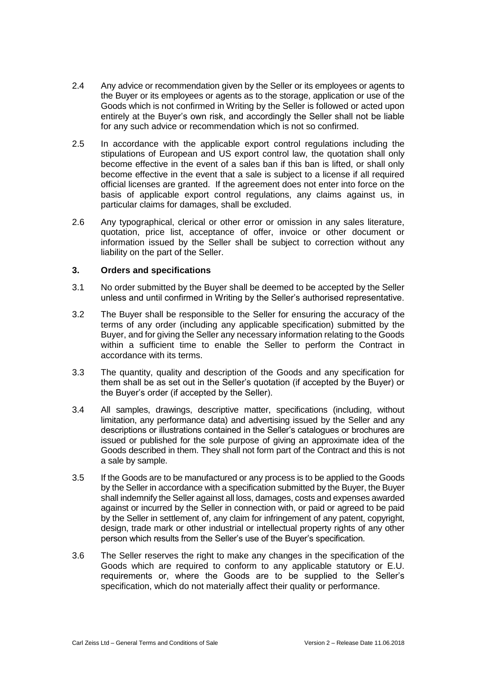- 2.4 Any advice or recommendation given by the Seller or its employees or agents to the Buyer or its employees or agents as to the storage, application or use of the Goods which is not confirmed in Writing by the Seller is followed or acted upon entirely at the Buyer's own risk, and accordingly the Seller shall not be liable for any such advice or recommendation which is not so confirmed.
- 2.5 In accordance with the applicable export control regulations including the stipulations of European and US export control law, the quotation shall only become effective in the event of a sales ban if this ban is lifted, or shall only become effective in the event that a sale is subject to a license if all required official licenses are granted. If the agreement does not enter into force on the basis of applicable export control regulations, any claims against us, in particular claims for damages, shall be excluded.
- 2.6 Any typographical, clerical or other error or omission in any sales literature, quotation, price list, acceptance of offer, invoice or other document or information issued by the Seller shall be subject to correction without any liability on the part of the Seller.

### **3. Orders and specifications**

- 3.1 No order submitted by the Buyer shall be deemed to be accepted by the Seller unless and until confirmed in Writing by the Seller's authorised representative.
- 3.2 The Buyer shall be responsible to the Seller for ensuring the accuracy of the terms of any order (including any applicable specification) submitted by the Buyer, and for giving the Seller any necessary information relating to the Goods within a sufficient time to enable the Seller to perform the Contract in accordance with its terms.
- 3.3 The quantity, quality and description of the Goods and any specification for them shall be as set out in the Seller's quotation (if accepted by the Buyer) or the Buyer's order (if accepted by the Seller).
- 3.4 All samples, drawings, descriptive matter, specifications (including, without limitation, any performance data) and advertising issued by the Seller and any descriptions or illustrations contained in the Seller's catalogues or brochures are issued or published for the sole purpose of giving an approximate idea of the Goods described in them. They shall not form part of the Contract and this is not a sale by sample.
- 3.5 If the Goods are to be manufactured or any process is to be applied to the Goods by the Seller in accordance with a specification submitted by the Buyer, the Buyer shall indemnify the Seller against all loss, damages, costs and expenses awarded against or incurred by the Seller in connection with, or paid or agreed to be paid by the Seller in settlement of, any claim for infringement of any patent, copyright, design, trade mark or other industrial or intellectual property rights of any other person which results from the Seller's use of the Buyer's specification.
- 3.6 The Seller reserves the right to make any changes in the specification of the Goods which are required to conform to any applicable statutory or E.U. requirements or, where the Goods are to be supplied to the Seller's specification, which do not materially affect their quality or performance.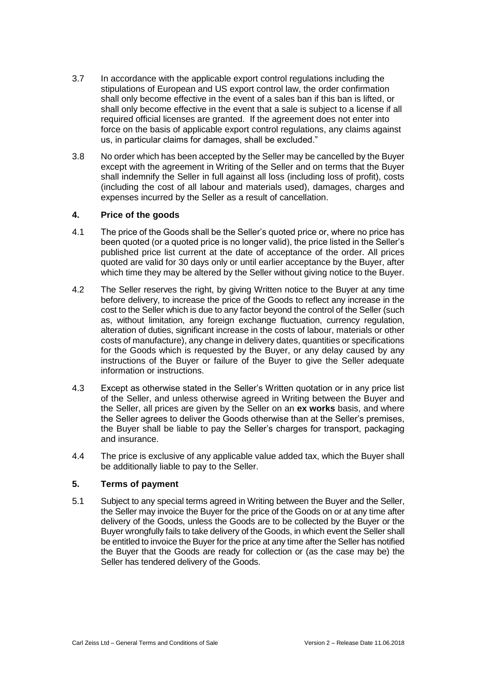- 3.7 In accordance with the applicable export control regulations including the stipulations of European and US export control law, the order confirmation shall only become effective in the event of a sales ban if this ban is lifted, or shall only become effective in the event that a sale is subject to a license if all required official licenses are granted. If the agreement does not enter into force on the basis of applicable export control regulations, any claims against us, in particular claims for damages, shall be excluded."
- 3.8 No order which has been accepted by the Seller may be cancelled by the Buyer except with the agreement in Writing of the Seller and on terms that the Buyer shall indemnify the Seller in full against all loss (including loss of profit), costs (including the cost of all labour and materials used), damages, charges and expenses incurred by the Seller as a result of cancellation.

# **4. Price of the goods**

- 4.1 The price of the Goods shall be the Seller's quoted price or, where no price has been quoted (or a quoted price is no longer valid), the price listed in the Seller's published price list current at the date of acceptance of the order. All prices quoted are valid for 30 days only or until earlier acceptance by the Buyer, after which time they may be altered by the Seller without giving notice to the Buyer.
- 4.2 The Seller reserves the right, by giving Written notice to the Buyer at any time before delivery, to increase the price of the Goods to reflect any increase in the cost to the Seller which is due to any factor beyond the control of the Seller (such as, without limitation, any foreign exchange fluctuation, currency regulation, alteration of duties, significant increase in the costs of labour, materials or other costs of manufacture), any change in delivery dates, quantities or specifications for the Goods which is requested by the Buyer, or any delay caused by any instructions of the Buyer or failure of the Buyer to give the Seller adequate information or instructions.
- 4.3 Except as otherwise stated in the Seller's Written quotation or in any price list of the Seller, and unless otherwise agreed in Writing between the Buyer and the Seller, all prices are given by the Seller on an **ex works** basis, and where the Seller agrees to deliver the Goods otherwise than at the Seller's premises, the Buyer shall be liable to pay the Seller's charges for transport, packaging and insurance.
- 4.4 The price is exclusive of any applicable value added tax, which the Buyer shall be additionally liable to pay to the Seller.

# **5. Terms of payment**

5.1 Subject to any special terms agreed in Writing between the Buyer and the Seller, the Seller may invoice the Buyer for the price of the Goods on or at any time after delivery of the Goods, unless the Goods are to be collected by the Buyer or the Buyer wrongfully fails to take delivery of the Goods, in which event the Seller shall be entitled to invoice the Buyer for the price at any time after the Seller has notified the Buyer that the Goods are ready for collection or (as the case may be) the Seller has tendered delivery of the Goods.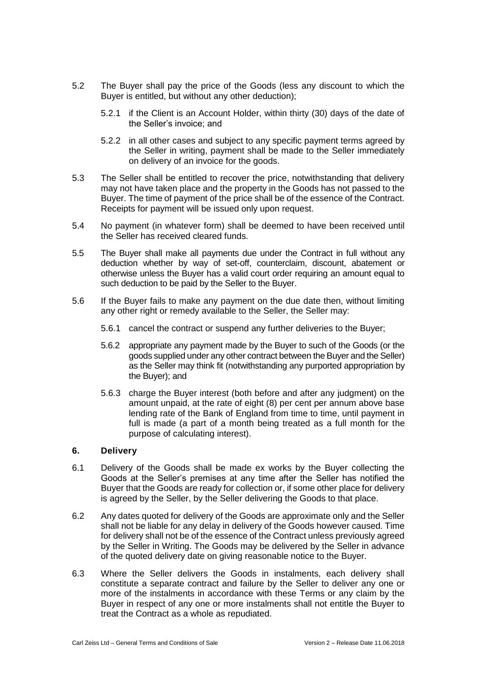- 5.2 The Buyer shall pay the price of the Goods (less any discount to which the Buyer is entitled, but without any other deduction);
	- 5.2.1 if the Client is an Account Holder, within thirty (30) days of the date of the Seller's invoice; and
	- 5.2.2 in all other cases and subject to any specific payment terms agreed by the Seller in writing, payment shall be made to the Seller immediately on delivery of an invoice for the goods.
- 5.3 The Seller shall be entitled to recover the price, notwithstanding that delivery may not have taken place and the property in the Goods has not passed to the Buyer. The time of payment of the price shall be of the essence of the Contract. Receipts for payment will be issued only upon request.
- 5.4 No payment (in whatever form) shall be deemed to have been received until the Seller has received cleared funds.
- 5.5 The Buyer shall make all payments due under the Contract in full without any deduction whether by way of set-off, counterclaim, discount, abatement or otherwise unless the Buyer has a valid court order requiring an amount equal to such deduction to be paid by the Seller to the Buyer.
- 5.6 If the Buyer fails to make any payment on the due date then, without limiting any other right or remedy available to the Seller, the Seller may:
	- 5.6.1 cancel the contract or suspend any further deliveries to the Buyer;
	- 5.6.2 appropriate any payment made by the Buyer to such of the Goods (or the goods supplied under any other contract between the Buyer and the Seller) as the Seller may think fit (notwithstanding any purported appropriation by the Buyer); and
	- 5.6.3 charge the Buyer interest (both before and after any judgment) on the amount unpaid, at the rate of eight (8) per cent per annum above base lending rate of the Bank of England from time to time, until payment in full is made (a part of a month being treated as a full month for the purpose of calculating interest).

# **6. Delivery**

- 6.1 Delivery of the Goods shall be made ex works by the Buyer collecting the Goods at the Seller's premises at any time after the Seller has notified the Buyer that the Goods are ready for collection or, if some other place for delivery is agreed by the Seller, by the Seller delivering the Goods to that place.
- 6.2 Any dates quoted for delivery of the Goods are approximate only and the Seller shall not be liable for any delay in delivery of the Goods however caused. Time for delivery shall not be of the essence of the Contract unless previously agreed by the Seller in Writing. The Goods may be delivered by the Seller in advance of the quoted delivery date on giving reasonable notice to the Buyer.
- 6.3 Where the Seller delivers the Goods in instalments, each delivery shall constitute a separate contract and failure by the Seller to deliver any one or more of the instalments in accordance with these Terms or any claim by the Buyer in respect of any one or more instalments shall not entitle the Buyer to treat the Contract as a whole as repudiated.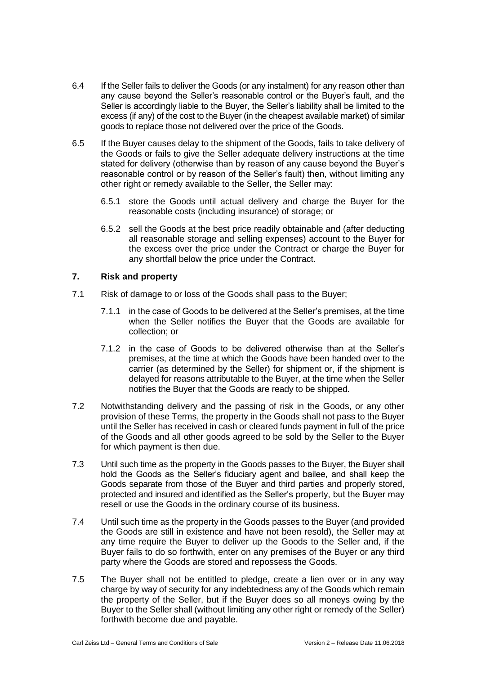- 6.4 If the Seller fails to deliver the Goods (or any instalment) for any reason other than any cause beyond the Seller's reasonable control or the Buyer's fault, and the Seller is accordingly liable to the Buyer, the Seller's liability shall be limited to the excess (if any) of the cost to the Buyer (in the cheapest available market) of similar goods to replace those not delivered over the price of the Goods.
- 6.5 If the Buyer causes delay to the shipment of the Goods, fails to take delivery of the Goods or fails to give the Seller adequate delivery instructions at the time stated for delivery (otherwise than by reason of any cause beyond the Buyer's reasonable control or by reason of the Seller's fault) then, without limiting any other right or remedy available to the Seller, the Seller may:
	- 6.5.1 store the Goods until actual delivery and charge the Buyer for the reasonable costs (including insurance) of storage; or
	- 6.5.2 sell the Goods at the best price readily obtainable and (after deducting all reasonable storage and selling expenses) account to the Buyer for the excess over the price under the Contract or charge the Buyer for any shortfall below the price under the Contract.

# **7. Risk and property**

- 7.1 Risk of damage to or loss of the Goods shall pass to the Buyer;
	- 7.1.1 in the case of Goods to be delivered at the Seller's premises, at the time when the Seller notifies the Buyer that the Goods are available for collection; or
	- 7.1.2 in the case of Goods to be delivered otherwise than at the Seller's premises, at the time at which the Goods have been handed over to the carrier (as determined by the Seller) for shipment or, if the shipment is delayed for reasons attributable to the Buyer, at the time when the Seller notifies the Buyer that the Goods are ready to be shipped.
- 7.2 Notwithstanding delivery and the passing of risk in the Goods, or any other provision of these Terms, the property in the Goods shall not pass to the Buyer until the Seller has received in cash or cleared funds payment in full of the price of the Goods and all other goods agreed to be sold by the Seller to the Buyer for which payment is then due.
- 7.3 Until such time as the property in the Goods passes to the Buyer, the Buyer shall hold the Goods as the Seller's fiduciary agent and bailee, and shall keep the Goods separate from those of the Buyer and third parties and properly stored, protected and insured and identified as the Seller's property, but the Buyer may resell or use the Goods in the ordinary course of its business.
- 7.4 Until such time as the property in the Goods passes to the Buyer (and provided the Goods are still in existence and have not been resold), the Seller may at any time require the Buyer to deliver up the Goods to the Seller and, if the Buyer fails to do so forthwith, enter on any premises of the Buyer or any third party where the Goods are stored and repossess the Goods.
- 7.5 The Buyer shall not be entitled to pledge, create a lien over or in any way charge by way of security for any indebtedness any of the Goods which remain the property of the Seller, but if the Buyer does so all moneys owing by the Buyer to the Seller shall (without limiting any other right or remedy of the Seller) forthwith become due and payable.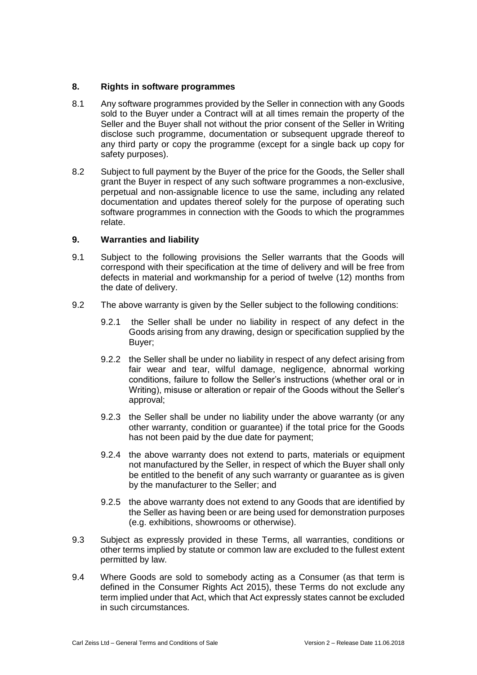# **8. Rights in software programmes**

- 8.1 Any software programmes provided by the Seller in connection with any Goods sold to the Buyer under a Contract will at all times remain the property of the Seller and the Buyer shall not without the prior consent of the Seller in Writing disclose such programme, documentation or subsequent upgrade thereof to any third party or copy the programme (except for a single back up copy for safety purposes).
- 8.2 Subject to full payment by the Buyer of the price for the Goods, the Seller shall grant the Buyer in respect of any such software programmes a non-exclusive, perpetual and non-assignable licence to use the same, including any related documentation and updates thereof solely for the purpose of operating such software programmes in connection with the Goods to which the programmes relate.

# **9. Warranties and liability**

- 9.1 Subject to the following provisions the Seller warrants that the Goods will correspond with their specification at the time of delivery and will be free from defects in material and workmanship for a period of twelve (12) months from the date of delivery.
- 9.2 The above warranty is given by the Seller subject to the following conditions:
	- 9.2.1 the Seller shall be under no liability in respect of any defect in the Goods arising from any drawing, design or specification supplied by the Buyer;
	- 9.2.2 the Seller shall be under no liability in respect of any defect arising from fair wear and tear, wilful damage, negligence, abnormal working conditions, failure to follow the Seller's instructions (whether oral or in Writing), misuse or alteration or repair of the Goods without the Seller's approval;
	- 9.2.3 the Seller shall be under no liability under the above warranty (or any other warranty, condition or guarantee) if the total price for the Goods has not been paid by the due date for payment;
	- 9.2.4 the above warranty does not extend to parts, materials or equipment not manufactured by the Seller, in respect of which the Buyer shall only be entitled to the benefit of any such warranty or guarantee as is given by the manufacturer to the Seller; and
	- 9.2.5 the above warranty does not extend to any Goods that are identified by the Seller as having been or are being used for demonstration purposes (e.g. exhibitions, showrooms or otherwise).
- 9.3 Subject as expressly provided in these Terms, all warranties, conditions or other terms implied by statute or common law are excluded to the fullest extent permitted by law.
- 9.4 Where Goods are sold to somebody acting as a Consumer (as that term is defined in the Consumer Rights Act 2015), these Terms do not exclude any term implied under that Act, which that Act expressly states cannot be excluded in such circumstances.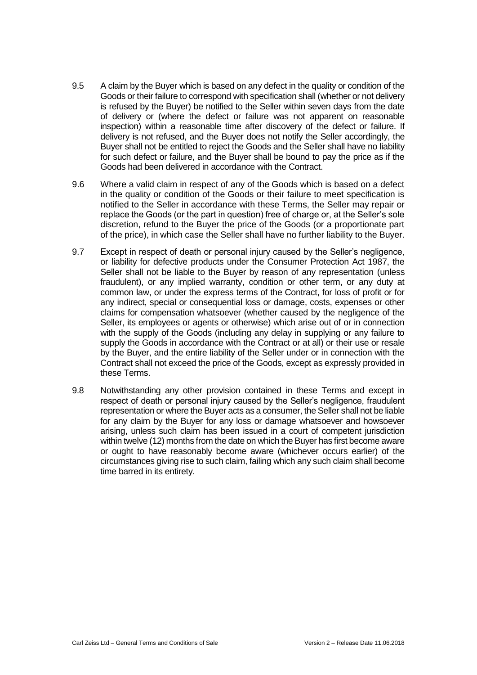- 9.5 A claim by the Buyer which is based on any defect in the quality or condition of the Goods or their failure to correspond with specification shall (whether or not delivery is refused by the Buyer) be notified to the Seller within seven days from the date of delivery or (where the defect or failure was not apparent on reasonable inspection) within a reasonable time after discovery of the defect or failure. If delivery is not refused, and the Buyer does not notify the Seller accordingly, the Buyer shall not be entitled to reject the Goods and the Seller shall have no liability for such defect or failure, and the Buyer shall be bound to pay the price as if the Goods had been delivered in accordance with the Contract.
- 9.6 Where a valid claim in respect of any of the Goods which is based on a defect in the quality or condition of the Goods or their failure to meet specification is notified to the Seller in accordance with these Terms, the Seller may repair or replace the Goods (or the part in question) free of charge or, at the Seller's sole discretion, refund to the Buyer the price of the Goods (or a proportionate part of the price), in which case the Seller shall have no further liability to the Buyer.
- 9.7 Except in respect of death or personal injury caused by the Seller's negligence, or liability for defective products under the Consumer Protection Act 1987, the Seller shall not be liable to the Buyer by reason of any representation (unless fraudulent), or any implied warranty, condition or other term, or any duty at common law, or under the express terms of the Contract, for loss of profit or for any indirect, special or consequential loss or damage, costs, expenses or other claims for compensation whatsoever (whether caused by the negligence of the Seller, its employees or agents or otherwise) which arise out of or in connection with the supply of the Goods (including any delay in supplying or any failure to supply the Goods in accordance with the Contract or at all) or their use or resale by the Buyer, and the entire liability of the Seller under or in connection with the Contract shall not exceed the price of the Goods, except as expressly provided in these Terms.
- 9.8 Notwithstanding any other provision contained in these Terms and except in respect of death or personal injury caused by the Seller's negligence, fraudulent representation or where the Buyer acts as a consumer, the Seller shall not be liable for any claim by the Buyer for any loss or damage whatsoever and howsoever arising, unless such claim has been issued in a court of competent jurisdiction within twelve (12) months from the date on which the Buyer has first become aware or ought to have reasonably become aware (whichever occurs earlier) of the circumstances giving rise to such claim, failing which any such claim shall become time barred in its entirety.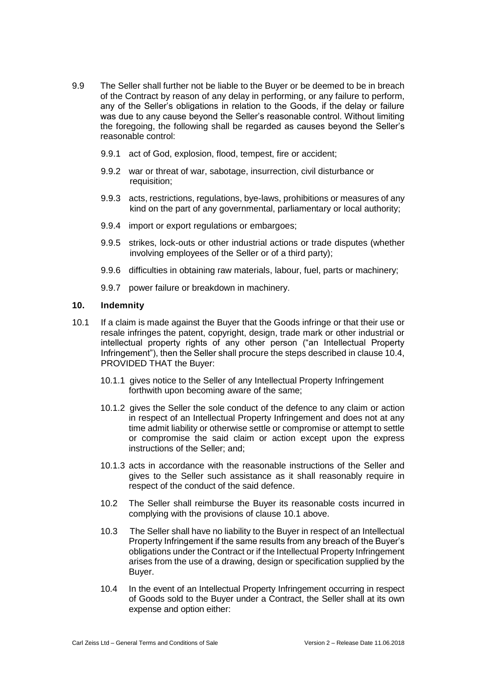- 9.9 The Seller shall further not be liable to the Buyer or be deemed to be in breach of the Contract by reason of any delay in performing, or any failure to perform, any of the Seller's obligations in relation to the Goods, if the delay or failure was due to any cause beyond the Seller's reasonable control. Without limiting the foregoing, the following shall be regarded as causes beyond the Seller's reasonable control:
	- 9.9.1 act of God, explosion, flood, tempest, fire or accident;
	- 9.9.2 war or threat of war, sabotage, insurrection, civil disturbance or requisition;
	- 9.9.3 acts, restrictions, regulations, bye-laws, prohibitions or measures of any kind on the part of any governmental, parliamentary or local authority;
	- 9.9.4 import or export regulations or embargoes;
	- 9.9.5 strikes, lock-outs or other industrial actions or trade disputes (whether involving employees of the Seller or of a third party);
	- 9.9.6 difficulties in obtaining raw materials, labour, fuel, parts or machinery;
	- 9.9.7 power failure or breakdown in machinery.

### **10. Indemnity**

- 10.1 If a claim is made against the Buyer that the Goods infringe or that their use or resale infringes the patent, copyright, design, trade mark or other industrial or intellectual property rights of any other person ("an Intellectual Property Infringement"), then the Seller shall procure the steps described in clause 10.4, PROVIDED THAT the Buyer:
	- 10.1.1 gives notice to the Seller of any Intellectual Property Infringement forthwith upon becoming aware of the same;
	- 10.1.2 gives the Seller the sole conduct of the defence to any claim or action in respect of an Intellectual Property Infringement and does not at any time admit liability or otherwise settle or compromise or attempt to settle or compromise the said claim or action except upon the express instructions of the Seller; and;
	- 10.1.3 acts in accordance with the reasonable instructions of the Seller and gives to the Seller such assistance as it shall reasonably require in respect of the conduct of the said defence.
	- 10.2 The Seller shall reimburse the Buyer its reasonable costs incurred in complying with the provisions of clause 10.1 above.
	- 10.3 The Seller shall have no liability to the Buyer in respect of an Intellectual Property Infringement if the same results from any breach of the Buyer's obligations under the Contract or if the Intellectual Property Infringement arises from the use of a drawing, design or specification supplied by the Buyer.
	- 10.4 In the event of an Intellectual Property Infringement occurring in respect of Goods sold to the Buyer under a Contract, the Seller shall at its own expense and option either: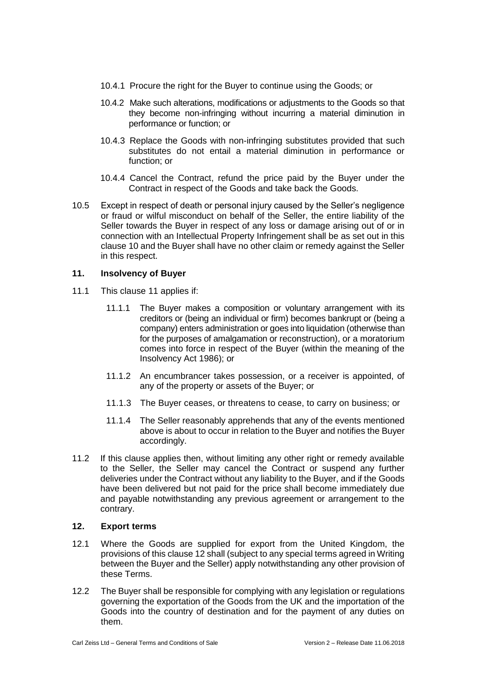- 10.4.1 Procure the right for the Buyer to continue using the Goods; or
- 10.4.2 Make such alterations, modifications or adjustments to the Goods so that they become non-infringing without incurring a material diminution in performance or function; or
- 10.4.3 Replace the Goods with non-infringing substitutes provided that such substitutes do not entail a material diminution in performance or function; or
- 10.4.4 Cancel the Contract, refund the price paid by the Buyer under the Contract in respect of the Goods and take back the Goods.
- 10.5 Except in respect of death or personal injury caused by the Seller's negligence or fraud or wilful misconduct on behalf of the Seller, the entire liability of the Seller towards the Buyer in respect of any loss or damage arising out of or in connection with an Intellectual Property Infringement shall be as set out in this clause 10 and the Buyer shall have no other claim or remedy against the Seller in this respect.

# **11. Insolvency of Buyer**

- 11.1 This clause 11 applies if:
	- 11.1.1 The Buyer makes a composition or voluntary arrangement with its creditors or (being an individual or firm) becomes bankrupt or (being a company) enters administration or goes into liquidation (otherwise than for the purposes of amalgamation or reconstruction), or a moratorium comes into force in respect of the Buyer (within the meaning of the Insolvency Act 1986); or
	- 11.1.2 An encumbrancer takes possession, or a receiver is appointed, of any of the property or assets of the Buyer; or
	- 11.1.3 The Buyer ceases, or threatens to cease, to carry on business; or
	- 11.1.4 The Seller reasonably apprehends that any of the events mentioned above is about to occur in relation to the Buyer and notifies the Buyer accordingly.
- 11.2 If this clause applies then, without limiting any other right or remedy available to the Seller, the Seller may cancel the Contract or suspend any further deliveries under the Contract without any liability to the Buyer, and if the Goods have been delivered but not paid for the price shall become immediately due and payable notwithstanding any previous agreement or arrangement to the contrary.

# **12. Export terms**

- 12.1 Where the Goods are supplied for export from the United Kingdom, the provisions of this clause 12 shall (subject to any special terms agreed in Writing between the Buyer and the Seller) apply notwithstanding any other provision of these Terms.
- 12.2 The Buyer shall be responsible for complying with any legislation or regulations governing the exportation of the Goods from the UK and the importation of the Goods into the country of destination and for the payment of any duties on them.